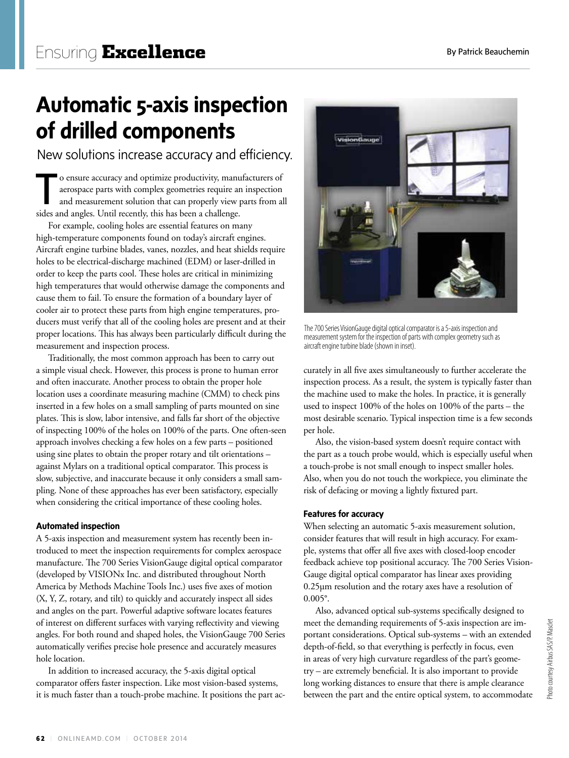# **Automatic 5-axis inspection of drilled components**

New solutions increase accuracy and efficiency.

T o ensure accuracy and optimize productivity, manufacturers of aerospace parts with complex geometries require an inspection and measurement solution that can properly view parts from all sides and angles. Until recently, this has been a challenge.

For example, cooling holes are essential features on many high-temperature components found on today's aircraft engines. Aircraft engine turbine blades, vanes, nozzles, and heat shields require holes to be electrical-discharge machined (EDM) or laser-drilled in order to keep the parts cool. These holes are critical in minimizing high temperatures that would otherwise damage the components and cause them to fail. To ensure the formation of a boundary layer of cooler air to protect these parts from high engine temperatures, producers must verify that all of the cooling holes are present and at their proper locations. This has always been particularly difficult during the measurement and inspection process.

Traditionally, the most common approach has been to carry out a simple visual check. However, this process is prone to human error and often inaccurate. Another process to obtain the proper hole location uses a coordinate measuring machine (CMM) to check pins inserted in a few holes on a small sampling of parts mounted on sine plates. This is slow, labor intensive, and falls far short of the objective of inspecting 100% of the holes on 100% of the parts. One often-seen approach involves checking a few holes on a few parts – positioned using sine plates to obtain the proper rotary and tilt orientations – against Mylars on a traditional optical comparator. This process is slow, subjective, and inaccurate because it only considers a small sampling. None of these approaches has ever been satisfactory, especially when considering the critical importance of these cooling holes.

# **Automated inspection**

A 5-axis inspection and measurement system has recently been introduced to meet the inspection requirements for complex aerospace manufacture. The 700 Series VisionGauge digital optical comparator (developed by VISIONx Inc. and distributed throughout North America by Methods Machine Tools Inc.) uses five axes of motion (X, Y, Z, rotary, and tilt) to quickly and accurately inspect all sides and angles on the part. Powerful adaptive software locates features of interest on different surfaces with varying reflectivity and viewing angles. For both round and shaped holes, the VisionGauge 700 Series automatically verifies precise hole presence and accurately measures hole location.

In addition to increased accuracy, the 5-axis digital optical comparator offers faster inspection. Like most vision-based systems, it is much faster than a touch-probe machine. It positions the part ac-



The 700 Series VisionGauge digital optical comparator is a 5-axis inspection and measurement system for the inspection of parts with complex geometry such as aircraft engine turbine blade (shown in inset).

curately in all five axes simultaneously to further accelerate the inspection process. As a result, the system is typically faster than the machine used to make the holes. In practice, it is generally used to inspect 100% of the holes on 100% of the parts – the most desirable scenario. Typical inspection time is a few seconds per hole.

Also, the vision-based system doesn't require contact with the part as a touch probe would, which is especially useful when a touch-probe is not small enough to inspect smaller holes. Also, when you do not touch the workpiece, you eliminate the risk of defacing or moving a lightly fixtured part.

# **Features for accuracy**

When selecting an automatic 5-axis measurement solution, consider features that will result in high accuracy. For example, systems that offer all five axes with closed-loop encoder feedback achieve top positional accuracy. The 700 Series Vision-Gauge digital optical comparator has linear axes providing 0.25µm resolution and the rotary axes have a resolution of 0.005°.

Also, advanced optical sub-systems specifically designed to meet the demanding requirements of 5-axis inspection are important considerations. Optical sub-systems – with an extended depth-of-field, so that everything is perfectly in focus, even in areas of very high curvature regardless of the part's geometry – are extremely beneficial. It is also important to provide long working distances to ensure that there is ample clearance between the part and the entire optical system, to accommodate